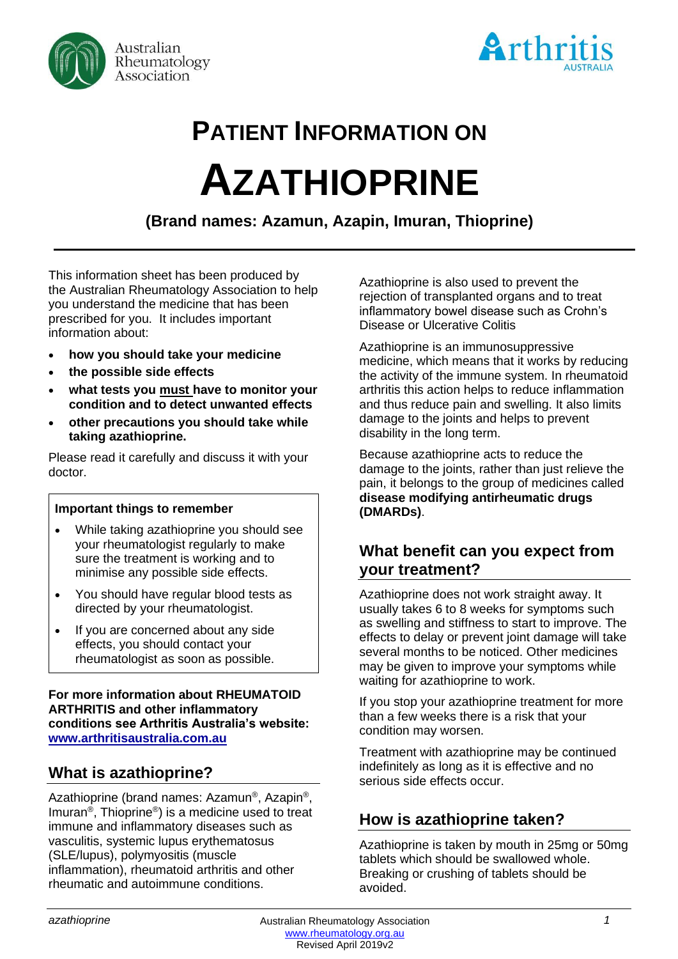



# **PATIENT INFORMATION ON AZATHIOPRINE**

**(Brand names: Azamun, Azapin, Imuran, Thioprine)**

This information sheet has been produced by the Australian Rheumatology Association to help you understand the medicine that has been prescribed for you. It includes important information about:

- **how you should take your medicine**
- **the possible side effects**
- **what tests you must have to monitor your condition and to detect unwanted effects**
- **other precautions you should take while taking azathioprine.**

Please read it carefully and discuss it with your doctor.

#### **Important things to remember**

- While taking azathioprine you should see your rheumatologist regularly to make sure the treatment is working and to minimise any possible side effects.
- You should have regular blood tests as directed by your rheumatologist.
- If you are concerned about any side effects, you should contact your rheumatologist as soon as possible.

**For more information about RHEUMATOID ARTHRITIS and other inflammatory conditions see Arthritis Australia's website: [www.arthritisaustralia.com.au](http://www.arthritisaustralia.com.au/)**

# **What is azathioprine?**

Azathioprine (brand names: Azamun®, Azapin®, Imuran® , Thioprine® ) is a medicine used to treat immune and inflammatory diseases such as vasculitis, systemic lupus erythematosus (SLE/lupus), polymyositis (muscle inflammation), rheumatoid arthritis and other rheumatic and autoimmune conditions.

Azathioprine is also used to prevent the rejection of transplanted organs and to treat inflammatory bowel disease such as Crohn's Disease or Ulcerative Colitis

Azathioprine is an immunosuppressive medicine, which means that it works by reducing the activity of the immune system. In rheumatoid arthritis this action helps to reduce inflammation and thus reduce pain and swelling. It also limits damage to the joints and helps to prevent disability in the long term.

Because azathioprine acts to reduce the damage to the joints, rather than just relieve the pain, it belongs to the group of medicines called **disease modifying antirheumatic drugs (DMARDs)**.

## **What benefit can you expect from your treatment?**

Azathioprine does not work straight away. It usually takes 6 to 8 weeks for symptoms such as swelling and stiffness to start to improve. The effects to delay or prevent joint damage will take several months to be noticed. Other medicines may be given to improve your symptoms while waiting for azathioprine to work.

If you stop your azathioprine treatment for more than a few weeks there is a risk that your condition may worsen.

Treatment with azathioprine may be continued indefinitely as long as it is effective and no serious side effects occur.

# **How is azathioprine taken?**

Azathioprine is taken by mouth in 25mg or 50mg tablets which should be swallowed whole. Breaking or crushing of tablets should be avoided.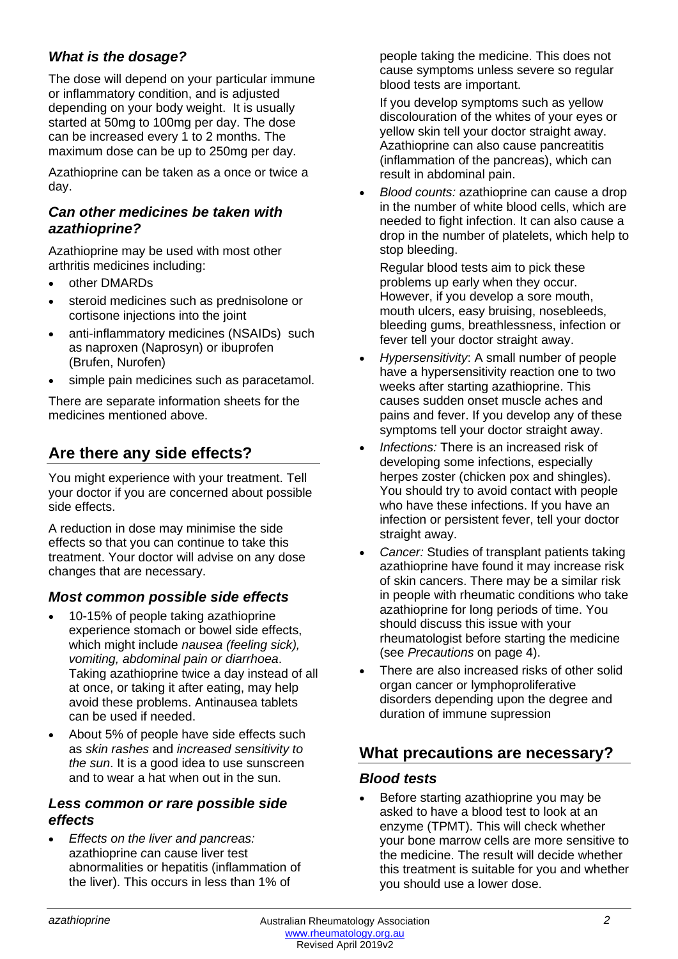### *What is the dosage?*

The dose will depend on your particular immune or inflammatory condition, and is adjusted depending on your body weight. It is usually started at 50mg to 100mg per day. The dose can be increased every 1 to 2 months. The maximum dose can be up to 250mg per day.

Azathioprine can be taken as a once or twice a day.

#### *Can other medicines be taken with azathioprine?*

Azathioprine may be used with most other arthritis medicines including:

- other DMARDs
- steroid medicines such as prednisolone or cortisone injections into the joint
- anti-inflammatory medicines (NSAIDs) such as naproxen (Naprosyn) or ibuprofen (Brufen, Nurofen)
- simple pain medicines such as paracetamol.

There are separate information sheets for the medicines mentioned above.

# **Are there any side effects?**

You might experience with your treatment. Tell your doctor if you are concerned about possible side effects.

A reduction in dose may minimise the side effects so that you can continue to take this treatment. Your doctor will advise on any dose changes that are necessary.

#### *Most common possible side effects*

- 10-15% of people taking azathioprine experience stomach or bowel side effects, which might include *nausea (feeling sick), vomiting, abdominal pain or diarrhoea*. Taking azathioprine twice a day instead of all at once, or taking it after eating, may help avoid these problems. Antinausea tablets can be used if needed.
- About 5% of people have side effects such as *skin rashes* and *increased sensitivity to the sun*. It is a good idea to use sunscreen and to wear a hat when out in the sun.

#### *Less common or rare possible side effects*

• *Effects on the liver and pancreas:*  azathioprine *c*an cause liver test abnormalities or hepatitis (inflammation of the liver). This occurs in less than 1% of

people taking the medicine. This does not cause symptoms unless severe so regular blood tests are important.

If you develop symptoms such as yellow discolouration of the whites of your eyes or yellow skin tell your doctor straight away. Azathioprine can also cause pancreatitis (inflammation of the pancreas), which can result in abdominal pain.

• *Blood counts:* azathioprine can cause a drop in the number of white blood cells, which are needed to fight infection. It can also cause a drop in the number of platelets, which help to stop bleeding.

Regular blood tests aim to pick these problems up early when they occur. However, if you develop a sore mouth, mouth ulcers, easy bruising, nosebleeds, bleeding gums, breathlessness, infection or fever tell your doctor straight away.

- *Hypersensitivity*: A small number of people have a hypersensitivity reaction one to two weeks after starting azathioprine. This causes sudden onset muscle aches and pains and fever. If you develop any of these symptoms tell your doctor straight away.
- *Infections:* There is an increased risk of developing some infections, especially herpes zoster (chicken pox and shingles). You should try to avoid contact with people who have these infections. If you have an infection or persistent fever, tell your doctor straight away.
- *Cancer:* Studies of transplant patients taking azathioprine have found it may increase risk of skin cancers. There may be a similar risk in people with rheumatic conditions who take azathioprine for long periods of time. You should discuss this issue with your rheumatologist before starting the medicine (see *Precautions* on page 4).
- There are also increased risks of other solid organ cancer or lymphoproliferative disorders depending upon the degree and duration of immune supression

# **What precautions are necessary?**

#### *Blood tests*

• Before starting azathioprine you may be asked to have a blood test to look at an enzyme (TPMT). This will check whether your bone marrow cells are more sensitive to the medicine. The result will decide whether this treatment is suitable for you and whether you should use a lower dose.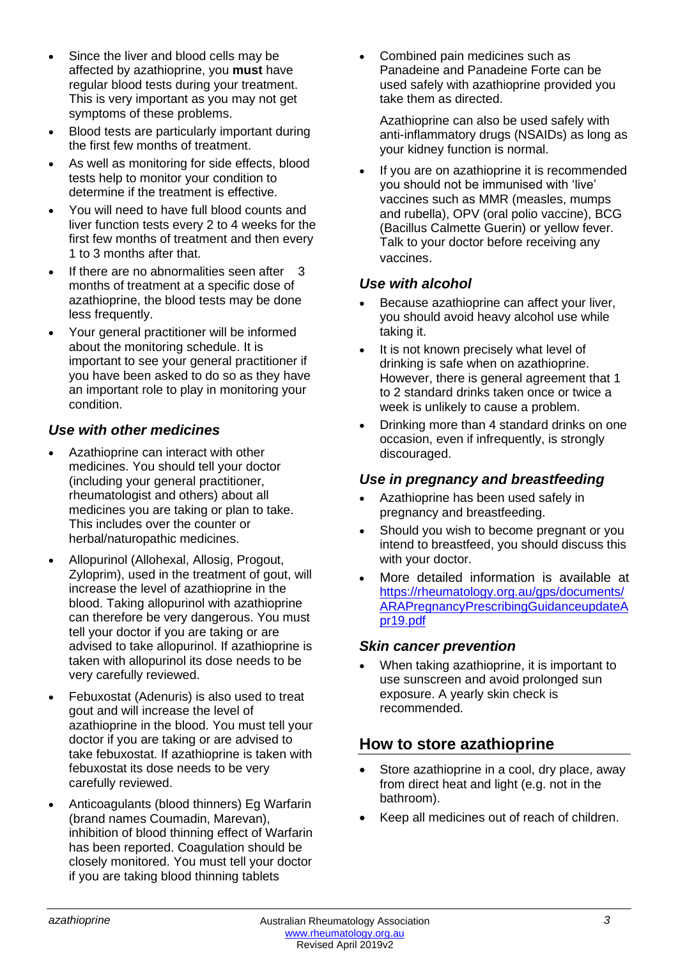- Since the liver and blood cells may be affected by azathioprine, you **must** have regular blood tests during your treatment. This is very important as you may not get symptoms of these problems.
- Blood tests are particularly important during the first few months of treatment.
- As well as monitoring for side effects, blood tests help to monitor your condition to determine if the treatment is effective.
- You will need to have full blood counts and liver function tests every 2 to 4 weeks for the first few months of treatment and then every 1 to 3 months after that.
- If there are no abnormalities seen after 3 months of treatment at a specific dose of azathioprine, the blood tests may be done less frequently.
- Your general practitioner will be informed about the monitoring schedule. It is important to see your general practitioner if you have been asked to do so as they have an important role to play in monitoring your condition.

#### *Use with other medicines*

- Azathioprine can interact with other medicines. You should tell your doctor (including your general practitioner, rheumatologist and others) about all medicines you are taking or plan to take. This includes over the counter or herbal/naturopathic medicines.
- Allopurinol (Allohexal, Allosig, Progout, Zyloprim), used in the treatment of gout, will increase the level of azathioprine in the blood. Taking allopurinol with azathioprine can therefore be very dangerous. You must tell your doctor if you are taking or are advised to take allopurinol. If azathioprine is taken with allopurinol its dose needs to be very carefully reviewed.
- Febuxostat (Adenuris) is also used to treat gout and will increase the level of azathioprine in the blood. You must tell your doctor if you are taking or are advised to take febuxostat. If azathioprine is taken with febuxostat its dose needs to be very carefully reviewed.
- Anticoagulants (blood thinners) Eg Warfarin (brand names Coumadin, Marevan), inhibition of blood thinning effect of Warfarin has been reported. Coagulation should be closely monitored. You must tell your doctor if you are taking blood thinning tablets

• Combined pain medicines such as Panadeine and Panadeine Forte can be used safely with azathioprine provided you take them as directed.

Azathioprine can also be used safely with anti-inflammatory drugs (NSAIDs) as long as your kidney function is normal.

If you are on azathioprine it is recommended you should not be immunised with 'live' vaccines such as MMR (measles, mumps and rubella), OPV (oral polio vaccine), BCG (Bacillus Calmette Guerin) or yellow fever. Talk to your doctor before receiving any vaccines.

#### *Use with alcohol*

- Because azathioprine can affect your liver, you should avoid heavy alcohol use while taking it.
- It is not known precisely what level of drinking is safe when on azathioprine. However, there is general agreement that 1 to 2 standard drinks taken once or twice a week is unlikely to cause a problem.
- Drinking more than 4 standard drinks on one occasion, even if infrequently, is strongly discouraged.

#### *Use in pregnancy and breastfeeding*

- Azathioprine has been used safely in pregnancy and breastfeeding.
- Should you wish to become pregnant or you intend to breastfeed, you should discuss this with your doctor.
- More detailed information is available at [https://rheumatology.org.au/gps/documents/](https://rheumatology.org.au/gps/documents/ARAPregnancyPrescribingGuidanceupdateApr19.pdf) [ARAPregnancyPrescribingGuidanceupdateA](https://rheumatology.org.au/gps/documents/ARAPregnancyPrescribingGuidanceupdateApr19.pdf) [pr19.pdf](https://rheumatology.org.au/gps/documents/ARAPregnancyPrescribingGuidanceupdateApr19.pdf)

#### *Skin cancer prevention*

• When taking azathioprine, it is important to use sunscreen and avoid prolonged sun exposure. A yearly skin check is recommended.

# **How to store azathioprine**

- Store azathioprine in a cool, dry place, away from direct heat and light (e.g. not in the bathroom).
- Keep all medicines out of reach of children.